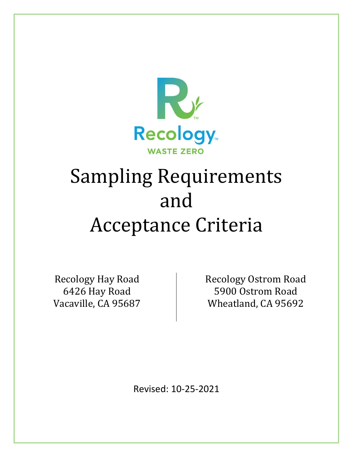

# Sampling Requirements and Acceptance Criteria

Recology Hay Road 6426 Hay Road Vacaville, CA 95687 Recology Ostrom Road 5900 Ostrom Road Wheatland, CA 95692

Revised: 10-25-2021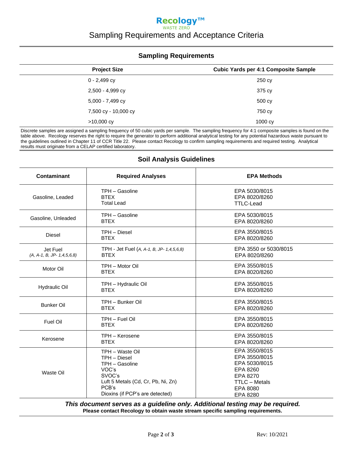### **Recology™** WASTE ZERO Sampling Requirements and Acceptance Criteria

#### **Sampling Requirements**

| <b>Project Size</b>  | <b>Cubic Yards per 4:1 Composite Sample</b> |
|----------------------|---------------------------------------------|
| $0 - 2,499$ cy       | 250 cy                                      |
| 2,500 - 4,999 cy     | 375 cy                                      |
| 5,000 - 7,499 cy     | 500 cy                                      |
| 7,500 cy - 10,000 cy | 750 cy                                      |
| $>10,000$ cy         | 1000 cy                                     |

Discrete samples are assigned a sampling frequency of 50 cubic yards per sample. The sampling frequency for 4:1 composite samples is found on the table above. Recology reserves the right to require the generator to perform additional analytical testing for any potential hazardous waste pursuant to the guidelines outlined in Chapter 11 of CCR Title 22. Please contact Recology to confirm sampling requirements and required testing. Analytical results must originate from a CELAP certified laboratory.

| Contaminant                             | <b>Required Analyses</b>                                                                                                                               | <b>EPA Methods</b>                                                                                                      |
|-----------------------------------------|--------------------------------------------------------------------------------------------------------------------------------------------------------|-------------------------------------------------------------------------------------------------------------------------|
| Gasoline, Leaded                        | TPH - Gasoline<br><b>BTFX</b><br><b>Total Lead</b>                                                                                                     | EPA 5030/8015<br>EPA 8020/8260<br><b>TTLC-Lead</b>                                                                      |
| Gasoline, Unleaded                      | TPH - Gasoline<br><b>BTEX</b>                                                                                                                          | EPA 5030/8015<br>EPA 8020/8260                                                                                          |
| <b>Diesel</b>                           | TPH - Diesel<br><b>BTEX</b>                                                                                                                            | EPA 3550/8015<br>EPA 8020/8260                                                                                          |
| Jet Fuel<br>$(A, A-1, B, JP-1,4,5,6,8)$ | TPH - Jet Fuel (A, A-1, B, JP- 1,4,5,6,8)<br><b>BTEX</b>                                                                                               | EPA 3550 or 5030/8015<br>EPA 8020/8260                                                                                  |
| Motor Oil                               | TPH - Motor Oil<br><b>BTEX</b>                                                                                                                         | EPA 3550/8015<br>EPA 8020/8260                                                                                          |
| <b>Hydraulic Oil</b>                    | TPH - Hydraulic Oil<br><b>BTEX</b>                                                                                                                     | EPA 3550/8015<br>EPA 8020/8260                                                                                          |
| <b>Bunker Oil</b>                       | TPH - Bunker Oil<br><b>BTEX</b>                                                                                                                        | EPA 3550/8015<br>EPA 8020/8260                                                                                          |
| Fuel Oil                                | TPH - Fuel Oil<br><b>BTEX</b>                                                                                                                          | EPA 3550/8015<br>EPA 8020/8260                                                                                          |
| Kerosene                                | TPH - Kerosene<br><b>BTEX</b>                                                                                                                          | EPA 3550/8015<br>EPA 8020/8260                                                                                          |
| Waste Oil                               | TPH - Waste Oil<br>TPH - Diesel<br>TPH - Gasoline<br>VOC's<br>SVOC's<br>Luft 5 Metals (Cd, Cr, Pb, Ni, Zn)<br>PCB's<br>Dioxins (if PCP's are detected) | EPA 3550/8015<br>EPA 3550/8015<br>EPA 5030/8015<br>EPA 8260<br>EPA 8270<br><b>TTLC - Metals</b><br>EPA 8080<br>EPA 8280 |

## **Soil Analysis Guidelines**

*This document serves as a guideline only. Additional testing may be required.* **Please contact Recology to obtain waste stream specific sampling requirements.**